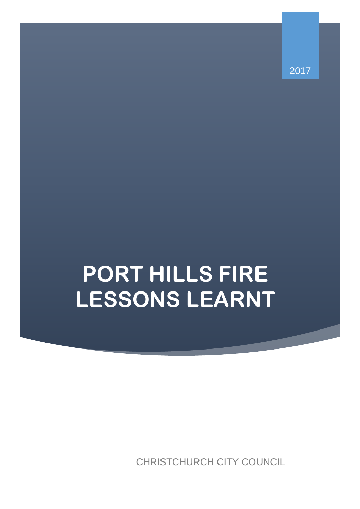2017

# **PORT HILLS FIRE LESSONS LEARNT**

CHRISTCHURCH CITY COUNCIL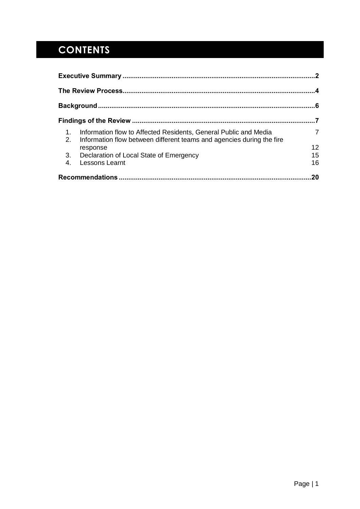## **CONTENTS**

| 1.<br>2. | Information flow to Affected Residents, General Public and Media<br>Information flow between different teams and agencies during the fire | $\overline{7}$ |
|----------|-------------------------------------------------------------------------------------------------------------------------------------------|----------------|
|          | response                                                                                                                                  | 12             |
|          | 3. Declaration of Local State of Emergency                                                                                                | 15             |
| 4.       | <b>Lessons Learnt</b>                                                                                                                     | 16             |
|          |                                                                                                                                           | 20             |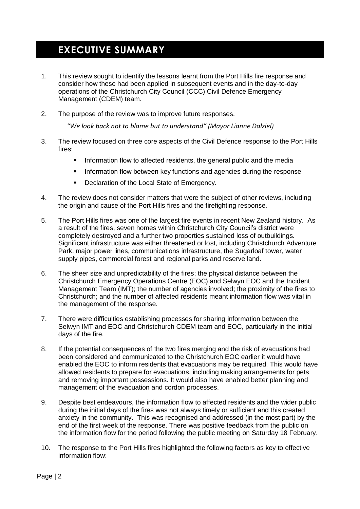## <span id="page-2-0"></span>**EXECUTIVE SUMMARY**

- 1. This review sought to identify the lessons learnt from the Port Hills fire response and consider how these had been applied in subsequent events and in the day-to-day operations of the Christchurch City Council (CCC) Civil Defence Emergency Management (CDEM) team.
- 2. The purpose of the review was to improve future responses.

*"We look back not to blame but to understand" (Mayor Lianne Dalziel)*

- 3. The review focused on three core aspects of the Civil Defence response to the Port Hills fires:
	- **Information flow to affected residents, the general public and the media**
	- **Information flow between key functions and agencies during the response**
	- **Declaration of the Local State of Emergency.**
- 4. The review does not consider matters that were the subject of other reviews, including the origin and cause of the Port Hills fires and the firefighting response.
- 5. The Port Hills fires was one of the largest fire events in recent New Zealand history. As a result of the fires, seven homes within Christchurch City Council's district were completely destroyed and a further two properties sustained loss of outbuildings. Significant infrastructure was either threatened or lost, including Christchurch Adventure Park, major power lines, communications infrastructure, the Sugarloaf tower, water supply pipes, commercial forest and regional parks and reserve land.
- 6. The sheer size and unpredictability of the fires; the physical distance between the Christchurch Emergency Operations Centre (EOC) and Selwyn EOC and the Incident Management Team (IMT); the number of agencies involved; the proximity of the fires to Christchurch; and the number of affected residents meant information flow was vital in the management of the response.
- 7. There were difficulties establishing processes for sharing information between the Selwyn IMT and EOC and Christchurch CDEM team and EOC, particularly in the initial days of the fire.
- 8. If the potential consequences of the two fires merging and the risk of evacuations had been considered and communicated to the Christchurch EOC earlier it would have enabled the EOC to inform residents that evacuations may be required. This would have allowed residents to prepare for evacuations, including making arrangements for pets and removing important possessions. It would also have enabled better planning and management of the evacuation and cordon processes.
- 9. Despite best endeavours, the information flow to affected residents and the wider public during the initial days of the fires was not always timely or sufficient and this created anxiety in the community. This was recognised and addressed (in the most part) by the end of the first week of the response. There was positive feedback from the public on the information flow for the period following the public meeting on Saturday 18 February.
- 10. The response to the Port Hills fires highlighted the following factors as key to effective information flow: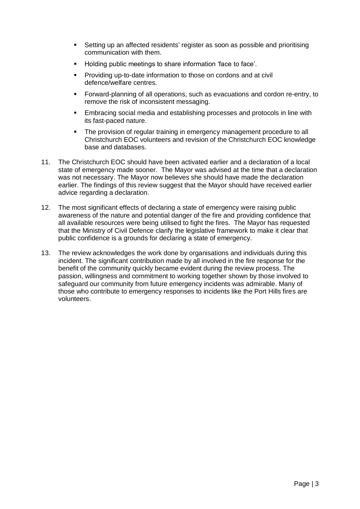- Setting up an affected residents' register as soon as possible and prioritising communication with them.
- Holding public meetings to share information 'face to face'.
- **Providing up-to-date information to those on cordons and at civil** defence/welfare centres.
- Forward-planning of all operations, such as evacuations and cordon re-entry, to remove the risk of inconsistent messaging.
- Embracing social media and establishing processes and protocols in line with its fast-paced nature.
- The provision of regular training in emergency management procedure to all Christchurch EOC volunteers and revision of the Christchurch EOC knowledge base and databases.
- 11. The Christchurch EOC should have been activated earlier and a declaration of a local state of emergency made sooner. The Mayor was advised at the time that a declaration was not necessary. The Mayor now believes she should have made the declaration earlier. The findings of this review suggest that the Mayor should have received earlier advice regarding a declaration.
- 12. The most significant effects of declaring a state of emergency were raising public awareness of the nature and potential danger of the fire and providing confidence that all available resources were being utilised to fight the fires. The Mayor has requested that the Ministry of Civil Defence clarify the legislative framework to make it clear that public confidence is a grounds for declaring a state of emergency.
- 13. The review acknowledges the work done by organisations and individuals during this incident. The significant contribution made by all involved in the fire response for the benefit of the community quickly became evident during the review process. The passion, willingness and commitment to working together shown by those involved to safeguard our community from future emergency incidents was admirable. Many of those who contribute to emergency responses to incidents like the Port Hills fires are volunteers.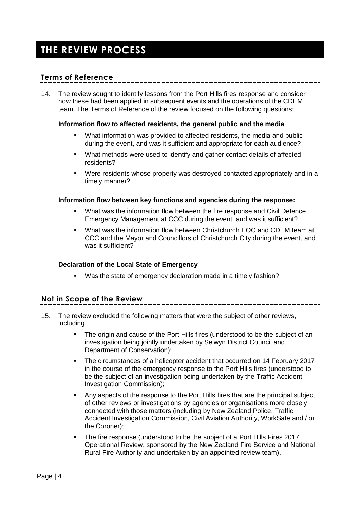## <span id="page-4-0"></span>**THE REVIEW PROCESS**

## **Terms of Reference**

14. The review sought to identify lessons from the Port Hills fires response and consider how these had been applied in subsequent events and the operations of the CDEM team. The Terms of Reference of the review focused on the following questions:

### **Information flow to affected residents, the general public and the media**

- What information was provided to affected residents, the media and public during the event, and was it sufficient and appropriate for each audience?
- What methods were used to identify and gather contact details of affected residents?
- Were residents whose property was destroyed contacted appropriately and in a timely manner?

## **Information flow between key functions and agencies during the response:**

- What was the information flow between the fire response and Civil Defence Emergency Management at CCC during the event, and was it sufficient?
- What was the information flow between Christchurch EOC and CDEM team at CCC and the Mayor and Councillors of Christchurch City during the event, and was it sufficient?

## **Declaration of the Local State of Emergency**

Was the state of emergency declaration made in a timely fashion?

## **Not in Scope of the Review**

- 15. The review excluded the following matters that were the subject of other reviews, including
	- The origin and cause of the Port Hills fires (understood to be the subject of an investigation being jointly undertaken by Selwyn District Council and Department of Conservation);
	- The circumstances of a helicopter accident that occurred on 14 February 2017 in the course of the emergency response to the Port Hills fires (understood to be the subject of an investigation being undertaken by the Traffic Accident Investigation Commission);
	- Any aspects of the response to the Port Hills fires that are the principal subject of other reviews or investigations by agencies or organisations more closely connected with those matters (including by New Zealand Police, Traffic Accident Investigation Commission, Civil Aviation Authority, WorkSafe and / or the Coroner);
	- The fire response (understood to be the subject of a Port Hills Fires 2017 Operational Review, sponsored by the New Zealand Fire Service and National Rural Fire Authority and undertaken by an appointed review team).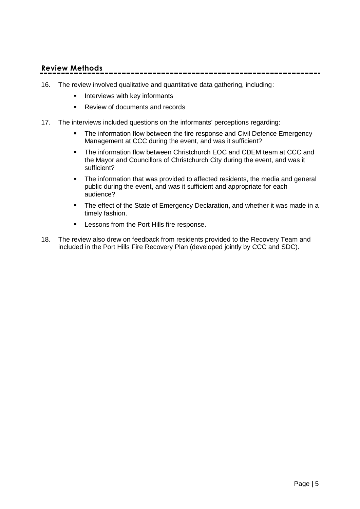## **Review Methods**

- 16. The review involved qualitative and quantitative data gathering, including:
	- **Interviews with key informants**
	- Review of documents and records
- 17. The interviews included questions on the informants' perceptions regarding:
	- **The information flow between the fire response and Civil Defence Emergency** Management at CCC during the event, and was it sufficient?
	- The information flow between Christchurch EOC and CDEM team at CCC and the Mayor and Councillors of Christchurch City during the event, and was it sufficient?
	- The information that was provided to affected residents, the media and general public during the event, and was it sufficient and appropriate for each audience?
	- The effect of the State of Emergency Declaration, and whether it was made in a timely fashion.
	- **EXEC** Lessons from the Port Hills fire response.
- 18. The review also drew on feedback from residents provided to the Recovery Team and included in the Port Hills Fire Recovery Plan (developed jointly by CCC and SDC).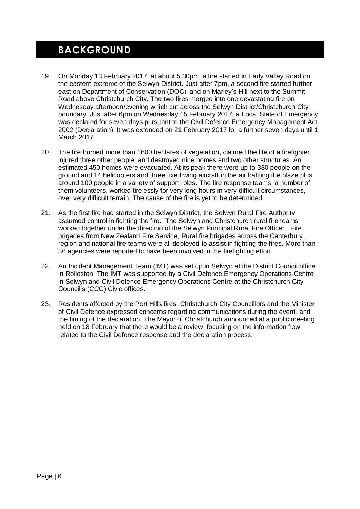## <span id="page-6-0"></span>**BACKGROUND**

- 19. On Monday 13 February 2017, at about 5.30pm, a fire started in Early Valley Road on the eastern extreme of the Selwyn District. Just after 7pm, a second fire started further east on Department of Conservation (DOC) land on Marley's Hill next to the Summit Road above Christchurch City. The two fires merged into one devastating fire on Wednesday afternoon/evening which cut across the Selwyn District/Christchurch City boundary. Just after 6pm on Wednesday 15 February 2017, a Local State of Emergency was declared for seven days pursuant to the Civil Defence Emergency Management Act 2002 (Declaration). It was extended on 21 February 2017 for a further seven days until 1 March 2017.
- 20. The fire burned more than 1600 hectares of vegetation, claimed the life of a firefighter, injured three other people, and destroyed nine homes and two other structures. An estimated 450 homes were evacuated. At its peak there were up to 380 people on the ground and 14 helicopters and three fixed wing aircraft in the air battling the blaze plus around 100 people in a variety of support roles. The fire response teams, a number of them volunteers, worked tirelessly for very long hours in very difficult circumstances, over very difficult terrain. The cause of the fire is yet to be determined.
- 21. As the first fire had started in the Selwyn District, the Selwyn Rural Fire Authority assumed control in fighting the fire. The Selwyn and Christchurch rural fire teams worked together under the direction of the Selwyn Principal Rural Fire Officer. Fire brigades from New Zealand Fire Service, Rural fire brigades across the Canterbury region and national fire teams were all deployed to assist in fighting the fires. More than 36 agencies were reported to have been involved in the firefighting effort.
- 22. An Incident Management Team (IMT) was set up in Selwyn at the District Council office in Rolleston. The IMT was supported by a Civil Defence Emergency Operations Centre in Selwyn and Civil Defence Emergency Operations Centre at the Christchurch City Council's (CCC) Civic offices.
- 23. Residents affected by the Port Hills fires, Christchurch City Councillors and the Minister of Civil Defence expressed concerns regarding communications during the event, and the timing of the declaration. The Mayor of Christchurch announced at a public meeting held on 18 February that there would be a review, focusing on the information flow related to the Civil Defence response and the declaration process.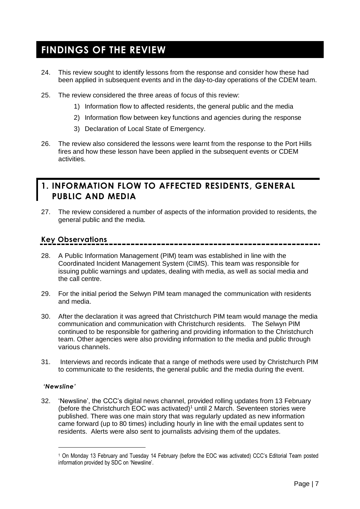## <span id="page-7-0"></span>**FINDINGS OF THE REVIEW**

- 24. This review sought to identify lessons from the response and consider how these had been applied in subsequent events and in the day-to-day operations of the CDEM team.
- 25. The review considered the three areas of focus of this review:
	- 1) Information flow to affected residents, the general public and the media
	- 2) Information flow between key functions and agencies during the response
	- 3) Declaration of Local State of Emergency.
- 26. The review also considered the lessons were learnt from the response to the Port Hills fires and how these lesson have been applied in the subsequent events or CDEM activities.

## <span id="page-7-1"></span>**1. INFORMATION FLOW TO AFFECTED RESIDENTS, GENERAL PUBLIC AND MEDIA**

27. The review considered a number of aspects of the information provided to residents, the general public and the media.

## **Key Observations**

- 28. A Public Information Management (PIM) team was established in line with the Coordinated Incident Management System (CIMS). This team was responsible for issuing public warnings and updates, dealing with media, as well as social media and the call centre.
- 29. For the initial period the Selwyn PIM team managed the communication with residents and media.
- 30. After the declaration it was agreed that Christchurch PIM team would manage the media communication and communication with Christchurch residents. The Selwyn PIM continued to be responsible for gathering and providing information to the Christchurch team. Other agencies were also providing information to the media and public through various channels.
- 31. Interviews and records indicate that a range of methods were used by Christchurch PIM to communicate to the residents, the general public and the media during the event.

## *'Newsline'*

 $\overline{a}$ 

32. 'Newsline', the CCC's digital news channel, provided rolling updates from 13 February (before the Christchurch EOC was activated)<sup>1</sup> until 2 March. Seventeen stories were published. There was one main story that was regularly updated as new information came forward (up to 80 times) including hourly in line with the email updates sent to residents. Alerts were also sent to journalists advising them of the updates.

<sup>1</sup> On Monday 13 February and Tuesday 14 February (before the EOC was activated) CCC's Editorial Team posted information provided by SDC on 'Newsline'.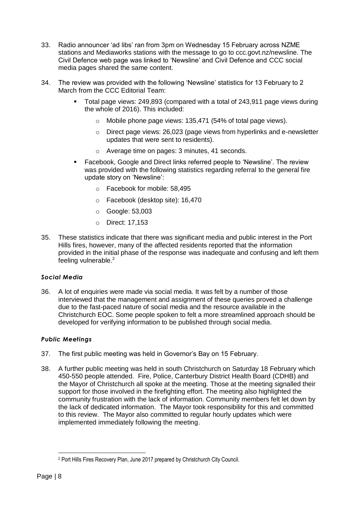- 33. Radio announcer 'ad libs' ran from 3pm on Wednesday 15 February across NZME stations and Mediaworks stations with the message to go to ccc.govt.nz/newsline. The Civil Defence web page was linked to 'Newsline' and Civil Defence and CCC social media pages shared the same content.
- 34. The review was provided with the following 'Newsline' statistics for 13 February to 2 March from the CCC Editorial Team:
	- Total page views: 249,893 (compared with a total of 243,911 page views during the whole of 2016). This included:
		- o Mobile phone page views: 135,471 (54% of total page views).
		- $\circ$  Direct page views: 26,023 (page views from hyperlinks and e-newsletter updates that were sent to residents).
		- o Average time on pages: 3 minutes, 41 seconds.
	- Facebook, Google and Direct links referred people to 'Newsline'. The review was provided with the following statistics regarding referral to the general fire update story on 'Newsline':
		- o Facebook for mobile: 58,495
		- o Facebook (desktop site): 16,470
		- o Google: 53,003
		- o Direct: 17,153
- 35. These statistics indicate that there was significant media and public interest in the Port Hills fires, however, many of the affected residents reported that the information provided in the initial phase of the response was inadequate and confusing and left them feeling vulnerable.<sup>2</sup>

## *Social Media*

36. A lot of enquiries were made via social media. It was felt by a number of those interviewed that the management and assignment of these queries proved a challenge due to the fast-paced nature of social media and the resource available in the Christchurch EOC. Some people spoken to felt a more streamlined approach should be developed for verifying information to be published through social media.

## *Public Meetings*

- 37. The first public meeting was held in Governor's Bay on 15 February.
- 38. A further public meeting was held in south Christchurch on Saturday 18 February which 450-550 people attended. Fire, Police, Canterbury District Health Board (CDHB) and the Mayor of Christchurch all spoke at the meeting. Those at the meeting signalled their support for those involved in the firefighting effort. The meeting also highlighted the community frustration with the lack of information. Community members felt let down by the lack of dedicated information. The Mayor took responsibility for this and committed to this review. The Mayor also committed to regular hourly updates which were implemented immediately following the meeting.

 <sup>2</sup> Port Hills Fires Recovery Plan, June 2017 prepared by Christchurch City Council.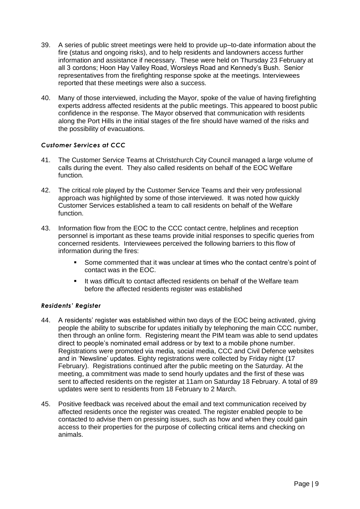- 39. A series of public street meetings were held to provide up–to-date information about the fire (status and ongoing risks), and to help residents and landowners access further information and assistance if necessary. These were held on Thursday 23 February at all 3 cordons; Hoon Hay Valley Road, Worsleys Road and Kennedy's Bush. Senior representatives from the firefighting response spoke at the meetings. Interviewees reported that these meetings were also a success.
- 40. Many of those interviewed, including the Mayor, spoke of the value of having firefighting experts address affected residents at the public meetings. This appeared to boost public confidence in the response. The Mayor observed that communication with residents along the Port Hills in the initial stages of the fire should have warned of the risks and the possibility of evacuations.

## *Customer Services at CCC*

- 41. The Customer Service Teams at Christchurch City Council managed a large volume of calls during the event. They also called residents on behalf of the EOC Welfare function.
- 42. The critical role played by the Customer Service Teams and their very professional approach was highlighted by some of those interviewed. It was noted how quickly Customer Services established a team to call residents on behalf of the Welfare function.
- 43. Information flow from the EOC to the CCC contact centre, helplines and reception personnel is important as these teams provide initial responses to specific queries from concerned residents. Interviewees perceived the following barriers to this flow of information during the fires:
	- Some commented that it was unclear at times who the contact centre's point of contact was in the EOC.
	- **If was difficult to contact affected residents on behalf of the Welfare team** before the affected residents register was established

## *Residents' Register*

- 44. A residents' register was established within two days of the EOC being activated, giving people the ability to subscribe for updates initially by telephoning the main CCC number, then through an online form. Registering meant the PIM team was able to send updates direct to people's nominated email address or by text to a mobile phone number. Registrations were promoted via media, social media, CCC and Civil Defence websites and in 'Newsline' updates. Eighty registrations were collected by Friday night (17 February). Registrations continued after the public meeting on the Saturday. At the meeting, a commitment was made to send hourly updates and the first of these was sent to affected residents on the register at 11am on Saturday 18 February. A total of 89 updates were sent to residents from 18 February to 2 March.
- 45. Positive feedback was received about the email and text communication received by affected residents once the register was created. The register enabled people to be contacted to advise them on pressing issues, such as how and when they could gain access to their properties for the purpose of collecting critical items and checking on animals.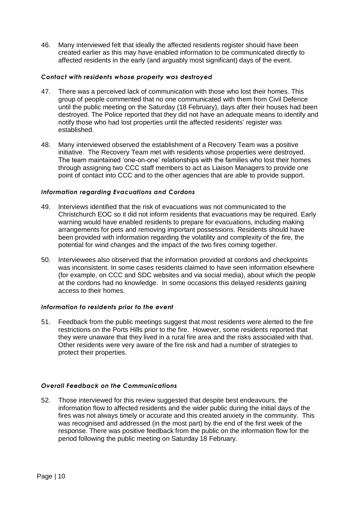46. Many interviewed felt that ideally the affected residents register should have been created earlier as this may have enabled information to be communicated directly to affected residents in the early (and arguably most significant) days of the event.

## *Contact with residents whose property was destroyed*

- 47. There was a perceived lack of communication with those who lost their homes. This group of people commented that no one communicated with them from Civil Defence until the public meeting on the Saturday (18 February), days after their houses had been destroyed. The Police reported that they did not have an adequate means to identify and notify those who had lost properties until the affected residents' register was established.
- 48. Many interviewed observed the establishment of a Recovery Team was a positive initiative. The Recovery Team met with residents whose properties were destroyed. The team maintained 'one-on-one' relationships with the families who lost their homes through assigning two CCC staff members to act as Liaison Managers to provide one point of contact into CCC and to the other agencies that are able to provide support.

## *Information regarding Evacuations and Cordons*

- 49. Interviews identified that the risk of evacuations was not communicated to the Christchurch EOC so it did not inform residents that evacuations may be required. Early warning would have enabled residents to prepare for evacuations, including making arrangements for pets and removing important possessions. Residents should have been provided with information regarding the volatility and complexity of the fire, the potential for wind changes and the impact of the two fires coming together.
- 50. Interviewees also observed that the information provided at cordons and checkpoints was inconsistent. In some cases residents claimed to have seen information elsewhere (for example, on CCC and SDC websites and via social media), about which the people at the cordons had no knowledge. In some occasions this delayed residents gaining access to their homes.

### *Information to residents prior to the event*

51. Feedback from the public meetings suggest that most residents were alerted to the fire restrictions on the Ports Hills prior to the fire. However, some residents reported that they were unaware that they lived in a rural fire area and the risks associated with that. Other residents were very aware of the fire risk and had a number of strategies to protect their properties.

## *Overall Feedback on the Communications*

52. Those interviewed for this review suggested that despite best endeavours, the information flow to affected residents and the wider public during the initial days of the fires was not always timely or accurate and this created anxiety in the community. This was recognised and addressed (in the most part) by the end of the first week of the response. There was positive feedback from the public on the information flow for the period following the public meeting on Saturday 18 February.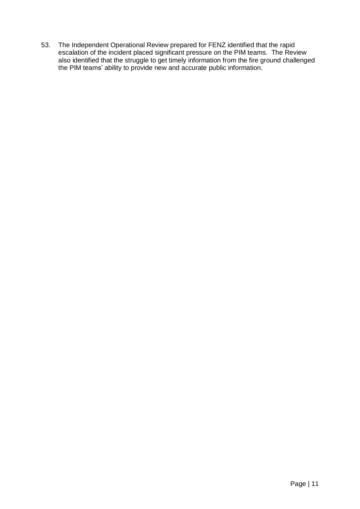53. The Independent Operational Review prepared for FENZ identified that the rapid escalation of the incident placed significant pressure on the PIM teams. The Review also identified that the struggle to get timely information from the fire ground challenged the PIM teams' ability to provide new and accurate public information.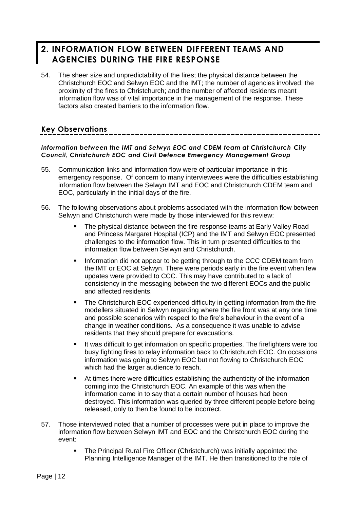## <span id="page-12-0"></span>**2. INFORMATION FLOW BETWEEN DIFFERENT TEAMS AND AGENCIES DURING THE FIRE RESPONSE**

54. The sheer size and unpredictability of the fires; the physical distance between the Christchurch EOC and Selwyn EOC and the IMT; the number of agencies involved; the proximity of the fires to Christchurch; and the number of affected residents meant information flow was of vital importance in the management of the response. These factors also created barriers to the information flow.

## **Key Observations**

## *Information between the IMT and Selwyn EOC and CDEM team at Christchurch City Council, Christchurch EOC and Civil Defence Emergency Management Group*

- 55. Communication links and information flow were of particular importance in this emergency response. Of concern to many interviewees were the difficulties establishing information flow between the Selwyn IMT and EOC and Christchurch CDEM team and EOC, particularly in the initial days of the fire.
- 56. The following observations about problems associated with the information flow between Selwyn and Christchurch were made by those interviewed for this review:
	- The physical distance between the fire response teams at Early Valley Road and Princess Margaret Hospital (ICP) and the IMT and Selwyn EOC presented challenges to the information flow. This in turn presented difficulties to the information flow between Selwyn and Christchurch.
	- **Information did not appear to be getting through to the CCC CDEM team from** the IMT or EOC at Selwyn. There were periods early in the fire event when few updates were provided to CCC. This may have contributed to a lack of consistency in the messaging between the two different EOCs and the public and affected residents.
	- The Christchurch EOC experienced difficulty in getting information from the fire modellers situated in Selwyn regarding where the fire front was at any one time and possible scenarios with respect to the fire's behaviour in the event of a change in weather conditions. As a consequence it was unable to advise residents that they should prepare for evacuations.
	- It was difficult to get information on specific properties. The firefighters were too busy fighting fires to relay information back to Christchurch EOC. On occasions information was going to Selwyn EOC but not flowing to Christchurch EOC which had the larger audience to reach.
	- At times there were difficulties establishing the authenticity of the information coming into the Christchurch EOC. An example of this was when the information came in to say that a certain number of houses had been destroyed. This information was queried by three different people before being released, only to then be found to be incorrect.
- 57. Those interviewed noted that a number of processes were put in place to improve the information flow between Selwyn IMT and EOC and the Christchurch EOC during the event:
	- The Principal Rural Fire Officer (Christchurch) was initially appointed the Planning Intelligence Manager of the IMT. He then transitioned to the role of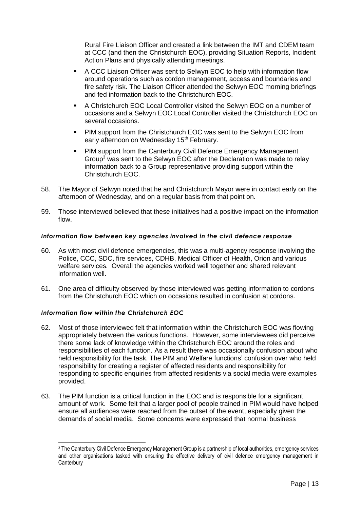Rural Fire Liaison Officer and created a link between the IMT and CDEM team at CCC (and then the Christchurch EOC), providing Situation Reports, Incident Action Plans and physically attending meetings.

- A CCC Liaison Officer was sent to Selwyn EOC to help with information flow around operations such as cordon management, access and boundaries and fire safety risk. The Liaison Officer attended the Selwyn EOC morning briefings and fed information back to the Christchurch EOC.
- A Christchurch EOC Local Controller visited the Selwyn EOC on a number of occasions and a Selwyn EOC Local Controller visited the Christchurch EOC on several occasions.
- PIM support from the Christchurch EOC was sent to the Selwyn EOC from early afternoon on Wednesday 15<sup>th</sup> February.
- **PIM support from the Canterbury Civil Defence Emergency Management** Group<sup>3</sup> was sent to the Selwyn EOC after the Declaration was made to relay information back to a Group representative providing support within the Christchurch EOC.
- 58. The Mayor of Selwyn noted that he and Christchurch Mayor were in contact early on the afternoon of Wednesday, and on a regular basis from that point on.
- 59. Those interviewed believed that these initiatives had a positive impact on the information flow.

## *Information flow between key agencies involved in the civil defence response*

- 60. As with most civil defence emergencies, this was a multi-agency response involving the Police, CCC, SDC, fire services, CDHB, Medical Officer of Health, Orion and various welfare services. Overall the agencies worked well together and shared relevant information well.
- 61. One area of difficulty observed by those interviewed was getting information to cordons from the Christchurch EOC which on occasions resulted in confusion at cordons.

### *Information flow within the Christchurch EOC*

 $\overline{a}$ 

- 62. Most of those interviewed felt that information within the Christchurch EOC was flowing appropriately between the various functions. However, some interviewees did perceive there some lack of knowledge within the Christchurch EOC around the roles and responsibilities of each function. As a result there was occasionally confusion about who held responsibility for the task. The PIM and Welfare functions' confusion over who held responsibility for creating a register of affected residents and responsibility for responding to specific enquiries from affected residents via social media were examples provided.
- 63. The PIM function is a critical function in the EOC and is responsible for a significant amount of work. Some felt that a larger pool of people trained in PIM would have helped ensure all audiences were reached from the outset of the event, especially given the demands of social media. Some concerns were expressed that normal business

<sup>3</sup> The Canterbury Civil Defence Emergency Management Group is a partnership of local authorities, emergency services and other organisations tasked with ensuring the effective delivery of civil defence emergency management in **Canterbury**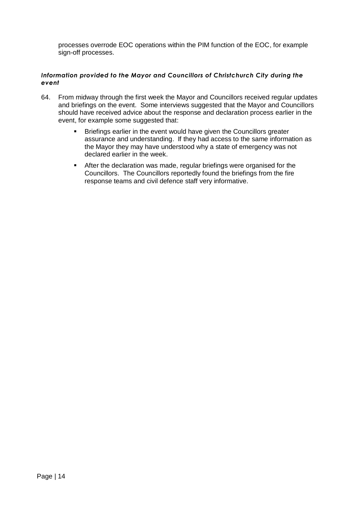processes overrode EOC operations within the PIM function of the EOC, for example sign-off processes.

## *Information provided to the Mayor and Councillors of Christchurch City during the event*

- 64. From midway through the first week the Mayor and Councillors received regular updates and briefings on the event. Some interviews suggested that the Mayor and Councillors should have received advice about the response and declaration process earlier in the event, for example some suggested that:
	- **Briefings earlier in the event would have given the Councillors greater** assurance and understanding. If they had access to the same information as the Mayor they may have understood why a state of emergency was not declared earlier in the week.
	- After the declaration was made, regular briefings were organised for the Councillors. The Councillors reportedly found the briefings from the fire response teams and civil defence staff very informative.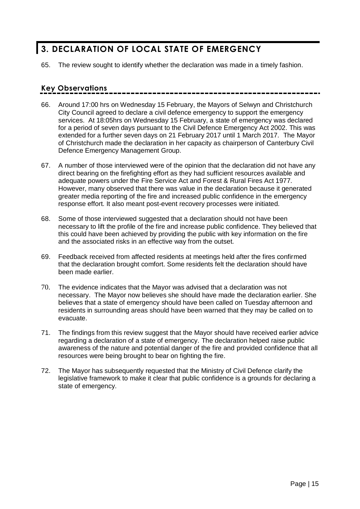## <span id="page-15-0"></span>**3. DECLARATION OF LOCAL STATE OF EMERGENCY**

65. The review sought to identify whether the declaration was made in a timely fashion.

## **Key Observations**

- 66. Around 17:00 hrs on Wednesday 15 February, the Mayors of Selwyn and Christchurch City Council agreed to declare a civil defence emergency to support the emergency services. At 18:05hrs on Wednesday 15 February, a state of emergency was declared for a period of seven days pursuant to the Civil Defence Emergency Act 2002. This was extended for a further seven days on 21 February 2017 until 1 March 2017. The Mayor of Christchurch made the declaration in her capacity as chairperson of Canterbury Civil Defence Emergency Management Group.
- 67. A number of those interviewed were of the opinion that the declaration did not have any direct bearing on the firefighting effort as they had sufficient resources available and adequate powers under the Fire Service Act and Forest & Rural Fires Act 1977. However, many observed that there was value in the declaration because it generated greater media reporting of the fire and increased public confidence in the emergency response effort. It also meant post-event recovery processes were initiated.
- 68. Some of those interviewed suggested that a declaration should not have been necessary to lift the profile of the fire and increase public confidence. They believed that this could have been achieved by providing the public with key information on the fire and the associated risks in an effective way from the outset.
- 69. Feedback received from affected residents at meetings held after the fires confirmed that the declaration brought comfort. Some residents felt the declaration should have been made earlier.
- 70. The evidence indicates that the Mayor was advised that a declaration was not necessary. The Mayor now believes she should have made the declaration earlier. She believes that a state of emergency should have been called on Tuesday afternoon and residents in surrounding areas should have been warned that they may be called on to evacuate.
- 71. The findings from this review suggest that the Mayor should have received earlier advice regarding a declaration of a state of emergency. The declaration helped raise public awareness of the nature and potential danger of the fire and provided confidence that all resources were being brought to bear on fighting the fire.
- 72. The Mayor has subsequently requested that the Ministry of Civil Defence clarify the legislative framework to make it clear that public confidence is a grounds for declaring a state of emergency.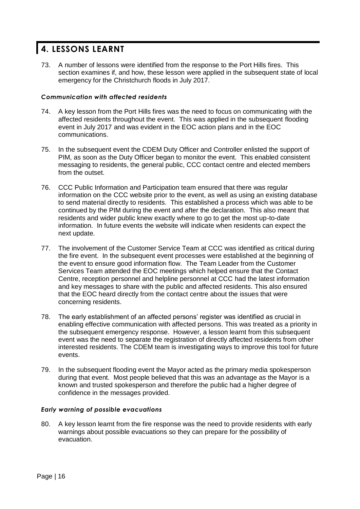## <span id="page-16-0"></span>**4. LESSONS LEARNT**

73. A number of lessons were identified from the response to the Port Hills fires. This section examines if, and how, these lesson were applied in the subsequent state of local emergency for the Christchurch floods in July 2017.

## *Communication with affected residents*

- 74. A key lesson from the Port Hills fires was the need to focus on communicating with the affected residents throughout the event. This was applied in the subsequent flooding event in July 2017 and was evident in the EOC action plans and in the EOC communications.
- 75. In the subsequent event the CDEM Duty Officer and Controller enlisted the support of PIM, as soon as the Duty Officer began to monitor the event. This enabled consistent messaging to residents, the general public, CCC contact centre and elected members from the outset.
- 76. CCC Public Information and Participation team ensured that there was regular information on the CCC website prior to the event, as well as using an existing database to send material directly to residents. This established a process which was able to be continued by the PIM during the event and after the declaration. This also meant that residents and wider public knew exactly where to go to get the most up-to-date information. In future events the website will indicate when residents can expect the next update.
- 77. The involvement of the Customer Service Team at CCC was identified as critical during the fire event. In the subsequent event processes were established at the beginning of the event to ensure good information flow. The Team Leader from the Customer Services Team attended the EOC meetings which helped ensure that the Contact Centre, reception personnel and helpline personnel at CCC had the latest information and key messages to share with the public and affected residents. This also ensured that the EOC heard directly from the contact centre about the issues that were concerning residents.
- 78. The early establishment of an affected persons' register was identified as crucial in enabling effective communication with affected persons. This was treated as a priority in the subsequent emergency response. However, a lesson learnt from this subsequent event was the need to separate the registration of directly affected residents from other interested residents. The CDEM team is investigating ways to improve this tool for future events.
- 79. In the subsequent flooding event the Mayor acted as the primary media spokesperson during that event. Most people believed that this was an advantage as the Mayor is a known and trusted spokesperson and therefore the public had a higher degree of confidence in the messages provided.

## *Early warning of possible evacuations*

80. A key lesson learnt from the fire response was the need to provide residents with early warnings about possible evacuations so they can prepare for the possibility of evacuation.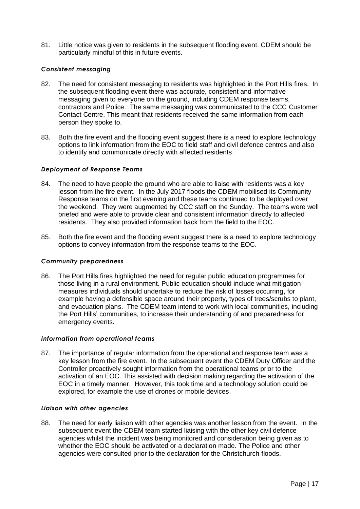81. Little notice was given to residents in the subsequent flooding event. CDEM should be particularly mindful of this in future events.

## *Consistent messaging*

- 82. The need for consistent messaging to residents was highlighted in the Port Hills fires. In the subsequent flooding event there was accurate, consistent and informative messaging given to everyone on the ground, including CDEM response teams, contractors and Police. The same messaging was communicated to the CCC Customer Contact Centre. This meant that residents received the same information from each person they spoke to.
- 83. Both the fire event and the flooding event suggest there is a need to explore technology options to link information from the EOC to field staff and civil defence centres and also to identify and communicate directly with affected residents.

## *Deployment of Response Teams*

- 84. The need to have people the ground who are able to liaise with residents was a key lesson from the fire event. In the July 2017 floods the CDEM mobilised its Community Response teams on the first evening and these teams continued to be deployed over the weekend. They were augmented by CCC staff on the Sunday. The teams were well briefed and were able to provide clear and consistent information directly to affected residents. They also provided information back from the field to the EOC.
- 85. Both the fire event and the flooding event suggest there is a need to explore technology options to convey information from the response teams to the EOC.

### *Community preparedness*

86. The Port Hills fires highlighted the need for regular public education programmes for those living in a rural environment. Public education should include what mitigation measures individuals should undertake to reduce the risk of losses occurring, for example having a defensible space around their property, types of trees/scrubs to plant, and evacuation plans. The CDEM team intend to work with local communities, including the Port Hills' communities, to increase their understanding of and preparedness for emergency events.

### *Information from operational teams*

87. The importance of regular information from the operational and response team was a key lesson from the fire event. In the subsequent event the CDEM Duty Officer and the Controller proactively sought information from the operational teams prior to the activation of an EOC. This assisted with decision making regarding the activation of the EOC in a timely manner. However, this took time and a technology solution could be explored, for example the use of drones or mobile devices.

### *Liaison with other agencies*

88. The need for early liaison with other agencies was another lesson from the event. In the subsequent event the CDEM team started liaising with the other key civil defence agencies whilst the incident was being monitored and consideration being given as to whether the EOC should be activated or a declaration made. The Police and other agencies were consulted prior to the declaration for the Christchurch floods.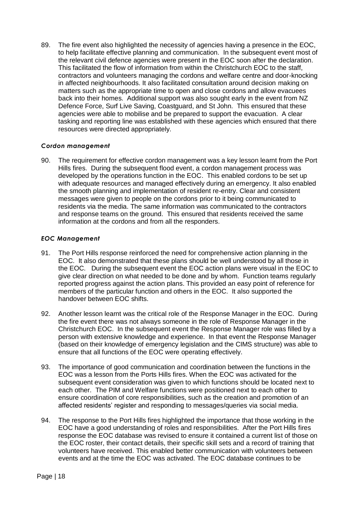89. The fire event also highlighted the necessity of agencies having a presence in the EOC, to help facilitate effective planning and communication. In the subsequent event most of the relevant civil defence agencies were present in the EOC soon after the declaration. This facilitated the flow of information from within the Christchurch EOC to the staff, contractors and volunteers managing the cordons and welfare centre and door-knocking in affected neighbourhoods. It also facilitated consultation around decision making on matters such as the appropriate time to open and close cordons and allow evacuees back into their homes. Additional support was also sought early in the event from NZ Defence Force, Surf Live Saving, Coastguard, and St John. This ensured that these agencies were able to mobilise and be prepared to support the evacuation. A clear tasking and reporting line was established with these agencies which ensured that there resources were directed appropriately.

## *Cordon management*

90. The requirement for effective cordon management was a key lesson learnt from the Port Hills fires. During the subsequent flood event, a cordon management process was developed by the operations function in the EOC. This enabled cordons to be set up with adequate resources and managed effectively during an emergency. It also enabled the smooth planning and implementation of resident re-entry. Clear and consistent messages were given to people on the cordons prior to it being communicated to residents via the media. The same information was communicated to the contractors and response teams on the ground. This ensured that residents received the same information at the cordons and from all the responders.

## *EOC Management*

- 91. The Port Hills response reinforced the need for comprehensive action planning in the EOC. It also demonstrated that these plans should be well understood by all those in the EOC. During the subsequent event the EOC action plans were visual in the EOC to give clear direction on what needed to be done and by whom. Function teams regularly reported progress against the action plans. This provided an easy point of reference for members of the particular function and others in the EOC. It also supported the handover between EOC shifts.
- 92. Another lesson learnt was the critical role of the Response Manager in the EOC. During the fire event there was not always someone in the role of Response Manager in the Christchurch EOC. In the subsequent event the Response Manager role was filled by a person with extensive knowledge and experience. In that event the Response Manager (based on their knowledge of emergency legislation and the CIMS structure) was able to ensure that all functions of the EOC were operating effectively.
- 93. The importance of good communication and coordination between the functions in the EOC was a lesson from the Ports Hills fires. When the EOC was activated for the subsequent event consideration was given to which functions should be located next to each other. The PIM and Welfare functions were positioned next to each other to ensure coordination of core responsibilities, such as the creation and promotion of an affected residents' register and responding to messages/queries via social media.
- 94. The response to the Port Hills fires highlighted the importance that those working in the EOC have a good understanding of roles and responsibilities. After the Port Hills fires response the EOC database was revised to ensure it contained a current list of those on the EOC roster, their contact details, their specific skill sets and a record of training that volunteers have received. This enabled better communication with volunteers between events and at the time the EOC was activated. The EOC database continues to be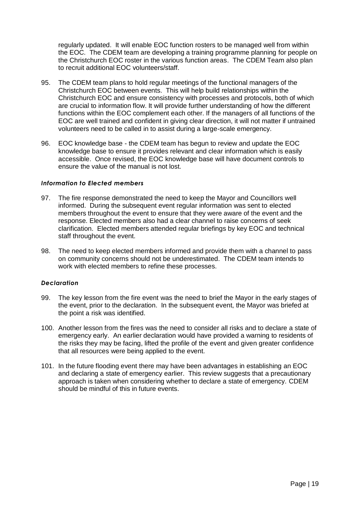regularly updated. It will enable EOC function rosters to be managed well from within the EOC. The CDEM team are developing a training programme planning for people on the Christchurch EOC roster in the various function areas. The CDEM Team also plan to recruit additional EOC volunteers/staff.

- 95. The CDEM team plans to hold regular meetings of the functional managers of the Christchurch EOC between events. This will help build relationships within the Christchurch EOC and ensure consistency with processes and protocols, both of which are crucial to information flow. It will provide further understanding of how the different functions within the EOC complement each other. If the managers of all functions of the EOC are well trained and confident in giving clear direction, it will not matter if untrained volunteers need to be called in to assist during a large-scale emergency.
- 96. EOC knowledge base the CDEM team has begun to review and update the EOC knowledge base to ensure it provides relevant and clear information which is easily accessible. Once revised, the EOC knowledge base will have document controls to ensure the value of the manual is not lost.

### *Information to Elected members*

- 97. The fire response demonstrated the need to keep the Mayor and Councillors well informed. During the subsequent event regular information was sent to elected members throughout the event to ensure that they were aware of the event and the response. Elected members also had a clear channel to raise concerns of seek clarification. Elected members attended regular briefings by key EOC and technical staff throughout the event.
- 98. The need to keep elected members informed and provide them with a channel to pass on community concerns should not be underestimated. The CDEM team intends to work with elected members to refine these processes.

### *Declaration*

- 99. The key lesson from the fire event was the need to brief the Mayor in the early stages of the event, prior to the declaration. In the subsequent event, the Mayor was briefed at the point a risk was identified.
- 100. Another lesson from the fires was the need to consider all risks and to declare a state of emergency early. An earlier declaration would have provided a warning to residents of the risks they may be facing, lifted the profile of the event and given greater confidence that all resources were being applied to the event.
- 101. In the future flooding event there may have been advantages in establishing an EOC and declaring a state of emergency earlier. This review suggests that a precautionary approach is taken when considering whether to declare a state of emergency. CDEM should be mindful of this in future events.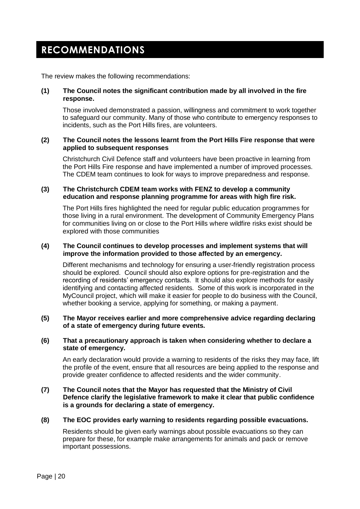## <span id="page-20-0"></span>**RECOMMENDATIONS**

The review makes the following recommendations:

### **(1) The Council notes the significant contribution made by all involved in the fire response.**

Those involved demonstrated a passion, willingness and commitment to work together to safeguard our community. Many of those who contribute to emergency responses to incidents, such as the Port Hills fires, are volunteers.

### **(2) The Council notes the lessons learnt from the Port Hills Fire response that were applied to subsequent responses**

Christchurch Civil Defence staff and volunteers have been proactive in learning from the Port Hills Fire response and have implemented a number of improved processes. The CDEM team continues to look for ways to improve preparedness and response.

## **(3) The Christchurch CDEM team works with FENZ to develop a community education and response planning programme for areas with high fire risk.**

The Port Hills fires highlighted the need for regular public education programmes for those living in a rural environment. The development of Community Emergency Plans for communities living on or close to the Port Hills where wildfire risks exist should be explored with those communities

#### **(4) The Council continues to develop processes and implement systems that will improve the information provided to those affected by an emergency.**

Different mechanisms and technology for ensuring a user-friendly registration process should be explored. Council should also explore options for pre-registration and the recording of residents' emergency contacts. It should also explore methods for easily identifying and contacting affected residents. Some of this work is incorporated in the MyCouncil project, which will make it easier for people to do business with the Council, whether booking a service, applying for something, or making a payment.

### **(5) The Mayor receives earlier and more comprehensive advice regarding declaring of a state of emergency during future events.**

#### **(6) That a precautionary approach is taken when considering whether to declare a state of emergency.**

An early declaration would provide a warning to residents of the risks they may face, lift the profile of the event, ensure that all resources are being applied to the response and provide greater confidence to affected residents and the wider community.

## **(7) The Council notes that the Mayor has requested that the Ministry of Civil Defence clarify the legislative framework to make it clear that public confidence is a grounds for declaring a state of emergency.**

## **(8) The EOC provides early warning to residents regarding possible evacuations.**

Residents should be given early warnings about possible evacuations so they can prepare for these, for example make arrangements for animals and pack or remove important possessions.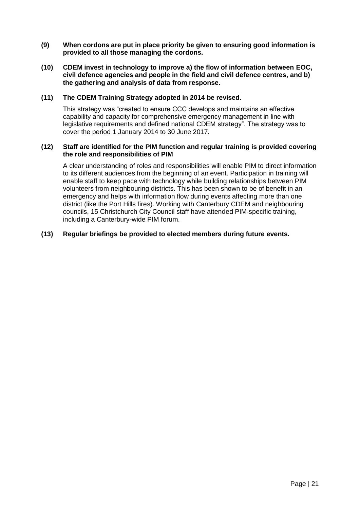- **(9) When cordons are put in place priority be given to ensuring good information is provided to all those managing the cordons.**
- **(10) CDEM invest in technology to improve a) the flow of information between EOC, civil defence agencies and people in the field and civil defence centres, and b) the gathering and analysis of data from response.**

## **(11) The CDEM Training Strategy adopted in 2014 be revised.**

This strategy was "created to ensure CCC develops and maintains an effective capability and capacity for comprehensive emergency management in line with legislative requirements and defined national CDEM strategy". The strategy was to cover the period 1 January 2014 to 30 June 2017.

### **(12) Staff are identified for the PIM function and regular training is provided covering the role and responsibilities of PIM**

A clear understanding of roles and responsibilities will enable PIM to direct information to its different audiences from the beginning of an event. Participation in training will enable staff to keep pace with technology while building relationships between PIM volunteers from neighbouring districts. This has been shown to be of benefit in an emergency and helps with information flow during events affecting more than one district (like the Port Hills fires). Working with Canterbury CDEM and neighbouring councils, 15 Christchurch City Council staff have attended PIM-specific training, including a Canterbury-wide PIM forum.

## **(13) Regular briefings be provided to elected members during future events.**